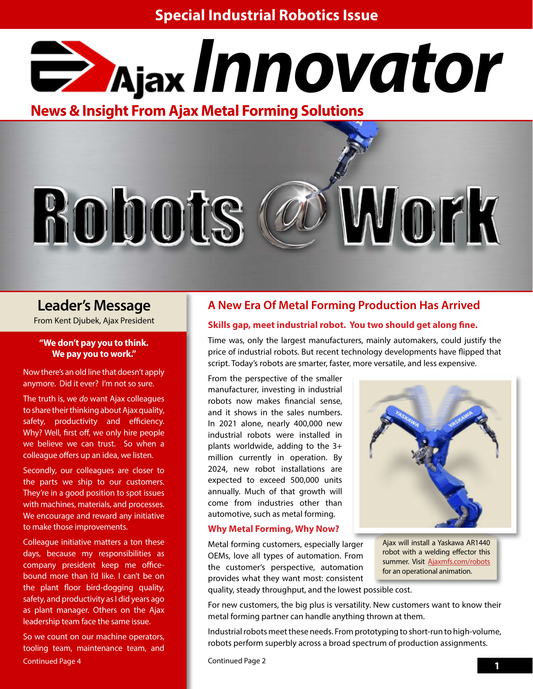

**News & Insight From Ajax Metal Forming Solutions**



# **Leader's Message**

### **"We don't pay you to think. We pay you to work."**

Now there's an old line that doesn't apply anymore. Did it ever? I'm not so sure.

The truth is, we *do* want Ajax colleagues to share their thinking about Ajax quality, safety, productivity and efficiency. Why? Well, first off, we only hire people we believe we can trust. So when a colleague offers up an idea, we listen.

Secondly, our colleagues are closer to the parts we ship to our customers. They're in a good position to spot issues with machines, materials, and processes. We encourage and reward any initiative to make those improvements.

Colleague initiative matters a ton these days, because my responsibilities as company president keep me officebound more than I'd like. I can't be on the plant floor bird-dogging quality, safety, and productivity as I did years ago as plant manager. Others on the Ajax leadership team face the same issue.

 **1** Continued Page 4 So we count on our machine operators, tooling team, maintenance team, and

## **A New Era Of Metal Forming Production Has Arrived**

# From Kent Djubek, Ajax President **Skills gap, meet industrial robot. You two should get along fine.**

Time was, only the largest manufacturers, mainly automakers, could justify the price of industrial robots. But recent technology developments have flipped that script. Today's robots are smarter, faster, more versatile, and less expensive.

From the perspective of the smaller manufacturer, investing in industrial robots now makes financial sense, and it shows in the sales numbers. In 2021 alone, nearly 400,000 new industrial robots were installed in plants worldwide, adding to the 3+ million currently in operation. By 2024, new robot installations are expected to exceed 500,000 units annually. Much of that growth will come from industries other than automotive, such as metal forming.

## **Why Metal Forming, Why Now?**

Metal forming customers, especially larger OEMs, love all types of automation. From the customer's perspective, automation provides what they want most: consistent



Ajax will install a Yaskawa AR1440 robot with a welding effector this summer. Visit [Ajaxmfs.com/robots](http://Ajaxmfs.com/robots) for an operational animation.

quality, steady throughput, and the lowest possible cost.

For new customers, the big plus is versatility. New customers want to know their metal forming partner can handle anything thrown at them.

Industrial robots meet these needs. From prototyping to short-run to high-volume, robots perform superbly across a broad spectrum of production assignments.

Continued Page 2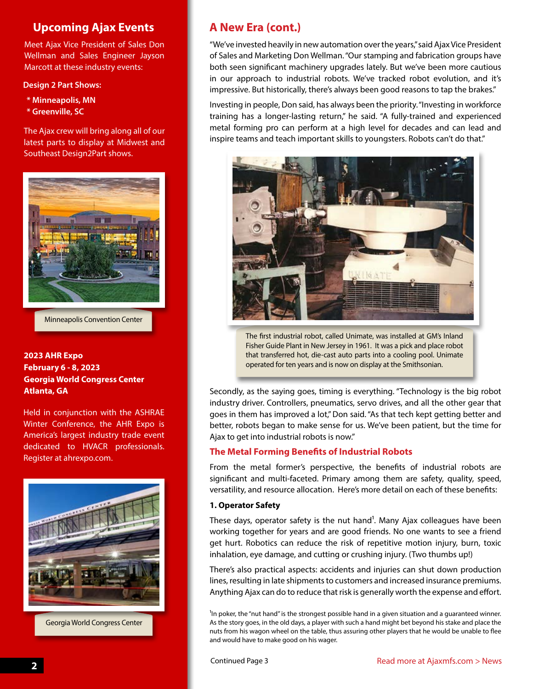# **Upcoming Ajax Events**

Meet Ajax Vice President of Sales Don Wellman and Sales Engineer Jayson Marcott at these industry events:

### **Design 2 Part Shows:**

- **\* Minneapolis, MN**
- **\* Greenville, SC**

The Ajax crew will bring along all of our latest parts to display at Midwest and Southeast Design2Part shows.



Minneapolis Convention Center

## **2023 AHR Expo February 6 - 8, 2023 Georgia World Congress Center Atlanta, GA**

Held in conjunction with the ASHRAE Winter Conference, the AHR Expo is America's largest industry trade event dedicated to HVACR professionals. Register at ahrexpo.com.



Georgia World Congress Center

# **A New Era (cont.)**

"We've invested heavily in new automation over the years," said Ajax Vice President of Sales and Marketing Don Wellman. "Our stamping and fabrication groups have both seen significant machinery upgrades lately. But we've been more cautious in our approach to industrial robots. We've tracked robot evolution, and it's impressive. But historically, there's always been good reasons to tap the brakes."

Investing in people, Don said, has always been the priority. "Investing in workforce training has a longer-lasting return," he said. "A fully-trained and experienced metal forming pro can perform at a high level for decades and can lead and inspire teams and teach important skills to youngsters. Robots can't do that."



The first industrial robot, called Unimate, was installed at GM's Inland Fisher Guide Plant in New Jersey in 1961. It was a pick and place robot that transferred hot, die-cast auto parts into a cooling pool. Unimate operated for ten years and is now on display at the Smithsonian.

Secondly, as the saying goes, timing is everything. "Technology is the big robot industry driver. Controllers, pneumatics, servo drives, and all the other gear that goes in them has improved a lot," Don said. "As that tech kept getting better and better, robots began to make sense for us. We've been patient, but the time for Ajax to get into industrial robots is now."

## **The Metal Forming Benefits of Industrial Robots**

From the metal former's perspective, the benefits of industrial robots are significant and multi-faceted. Primary among them are safety, quality, speed, versatility, and resource allocation. Here's more detail on each of these benefits:

### **1. Operator Safety**

These days, operator safety is the nut hand<sup>1</sup>. Many Ajax colleagues have been working together for years and are good friends. No one wants to see a friend get hurt. Robotics can reduce the risk of repetitive motion injury, burn, toxic inhalation, eye damage, and cutting or crushing injury. (Two thumbs up!)

There's also practical aspects: accidents and injuries can shut down production lines, resulting in late shipments to customers and increased insurance premiums. Anything Ajax can do to reduce that risk is generally worth the expense and effort.

<sup>1</sup>In poker, the "nut hand" is the strongest possible hand in a given situation and a guaranteed winner. As the story goes, in the old days, a player with such a hand might bet beyond his stake and place the nuts from his wagon wheel on the table, thus assuring other players that he would be unable to flee and would have to make good on his wager.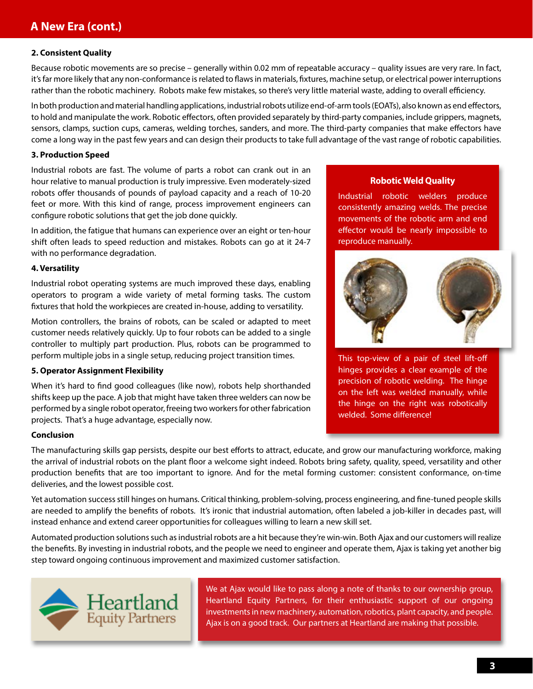#### **2. Consistent Quality**

Because robotic movements are so precise – generally within 0.02 mm of repeatable accuracy – quality issues are very rare. In fact, it's far more likely that any non-conformance is related to flaws in materials, fixtures, machine setup, or electrical power interruptions rather than the robotic machinery. Robots make few mistakes, so there's very little material waste, adding to overall efficiency.

In both production and material handling applications, industrial robots utilize end-of-arm tools (EOATs), also known as end effectors, to hold and manipulate the work. Robotic effectors, often provided separately by third-party companies, include grippers, magnets, sensors, clamps, suction cups, cameras, welding torches, sanders, and more. The third-party companies that make effectors have come a long way in the past few years and can design their products to take full advantage of the vast range of robotic capabilities.

#### **3. Production Speed**

Industrial robots are fast. The volume of parts a robot can crank out in an hour relative to manual production is truly impressive. Even moderately-sized robots offer thousands of pounds of payload capacity and a reach of 10-20 feet or more. With this kind of range, process improvement engineers can configure robotic solutions that get the job done quickly.

In addition, the fatigue that humans can experience over an eight or ten-hour shift often leads to speed reduction and mistakes. Robots can go at it 24-7 with no performance degradation.

#### **4. Versatility**

Industrial robot operating systems are much improved these days, enabling operators to program a wide variety of metal forming tasks. The custom fixtures that hold the workpieces are created in-house, adding to versatility.

Motion controllers, the brains of robots, can be scaled or adapted to meet customer needs relatively quickly. Up to four robots can be added to a single controller to multiply part production. Plus, robots can be programmed to perform multiple jobs in a single setup, reducing project transition times.

#### **5. Operator Assignment Flexibility**

When it's hard to find good colleagues (like now), robots help shorthanded shifts keep up the pace. A job that might have taken three welders can now be performed by a single robot operator, freeing two workers for other fabrication projects. That's a huge advantage, especially now.

#### **Conclusion**

The manufacturing skills gap persists, despite our best efforts to attract, educate, and grow our manufacturing workforce, making the arrival of industrial robots on the plant floor a welcome sight indeed. Robots bring safety, quality, speed, versatility and other production benefits that are too important to ignore. And for the metal forming customer: consistent conformance, on-time deliveries, and the lowest possible cost.

Yet automation success still hinges on humans. Critical thinking, problem-solving, process engineering, and fine-tuned people skills are needed to amplify the benefits of robots. It's ironic that industrial automation, often labeled a job-killer in decades past, will instead enhance and extend career opportunities for colleagues willing to learn a new skill set.

Automated production solutions such as industrial robots are a hit because they're win-win. Both Ajax and our customers will realize the benefits. By investing in industrial robots, and the people we need to engineer and operate them, Ajax is taking yet another big step toward ongoing continuous improvement and maximized customer satisfaction.



We at Ajax would like to pass along a note of thanks to our ownership group, Heartland Equity Partners, for their enthusiastic support of our ongoing investments in new machinery, automation, robotics, plant capacity, and people. Ajax is on a good track. Our partners at Heartland are making that possible.

#### **Robotic Weld Quality**

Industrial robotic welders produce consistently amazing welds. The precise movements of the robotic arm and end effector would be nearly impossible to reproduce manually.



This top-view of a pair of steel lift-off hinges provides a clear example of the precision of robotic welding. The hinge on the left was welded manually, while the hinge on the right was robotically welded. Some difference!